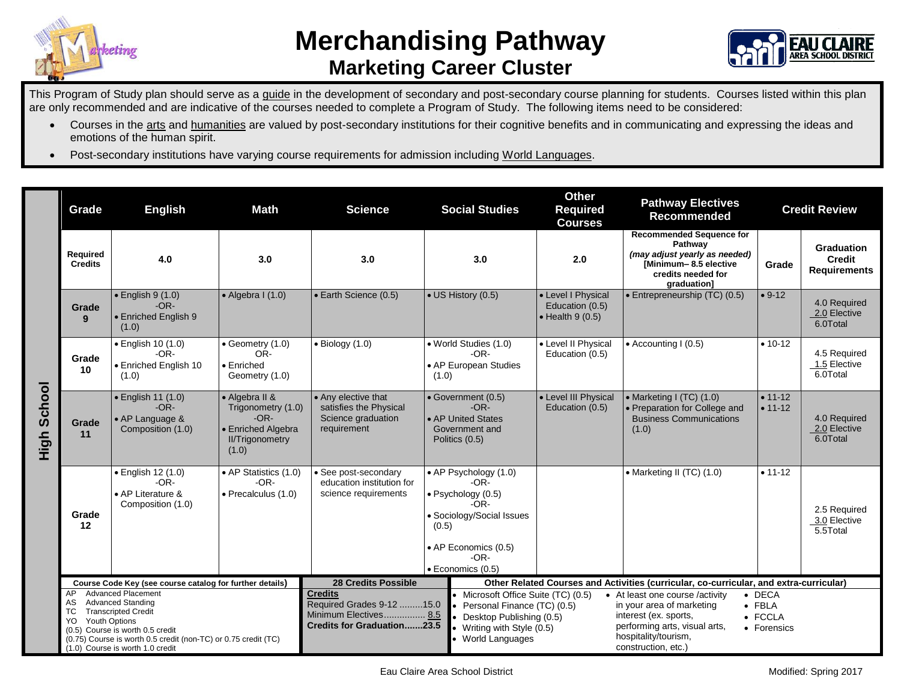

## **Merchandising Pathway Marketing Career Cluster**



This Program of Study plan should serve as a guide in the development of secondary and post-secondary course planning for students. Courses listed within this plan are only recommended and are indicative of the courses needed to complete a Program of Study. The following items need to be considered:

- Courses in the arts and humanities are valued by post-secondary institutions for their cognitive benefits and in communicating and expressing the ideas and emotions of the human spirit.
- Post-secondary institutions have varying course requirements for admission including World Languages.

|                | Grade                                                                                                                                                                                                                                                                            | <b>English</b>                                                               | <b>Math</b>                                                                                             | <b>Science</b>                                                                                            |                | <b>Social Studies</b>                                                                                                                                | <b>Other</b><br><b>Required</b><br><b>Courses</b>                 | <b>Pathway Electives</b><br><b>Recommended</b>                                                                                                                        | <b>Credit Review</b>                                       |                                                           |
|----------------|----------------------------------------------------------------------------------------------------------------------------------------------------------------------------------------------------------------------------------------------------------------------------------|------------------------------------------------------------------------------|---------------------------------------------------------------------------------------------------------|-----------------------------------------------------------------------------------------------------------|----------------|------------------------------------------------------------------------------------------------------------------------------------------------------|-------------------------------------------------------------------|-----------------------------------------------------------------------------------------------------------------------------------------------------------------------|------------------------------------------------------------|-----------------------------------------------------------|
|                | Required<br><b>Credits</b>                                                                                                                                                                                                                                                       | 4.0                                                                          | 3.0                                                                                                     | 3.0                                                                                                       |                | 3.0                                                                                                                                                  | 2.0                                                               | <b>Recommended Sequence for</b><br>Pathway<br>(may adjust yearly as needed)<br>[Minimum-8.5 elective<br>credits needed for<br>graduation]                             | Grade                                                      | <b>Graduation</b><br><b>Credit</b><br><b>Requirements</b> |
|                | Grade<br>9                                                                                                                                                                                                                                                                       | $\bullet$ English 9 (1.0)<br>$-OR-$<br>• Enriched English 9<br>(1.0)         | $\bullet$ Algebra I (1.0)                                                                               | • Earth Science (0.5)                                                                                     |                | • US History (0.5)                                                                                                                                   | • Level I Physical<br>Education (0.5)<br>$\bullet$ Health 9 (0.5) | • Entrepreneurship (TC) (0.5)                                                                                                                                         | $• 9-12$                                                   | 4.0 Required<br>2.0 Elective<br>6.0Total                  |
| School<br>High | Grade<br>10                                                                                                                                                                                                                                                                      | • English 10 (1.0)<br>$-OR-$<br>• Enriched English 10<br>(1.0)               | $\bullet$ Geometry (1.0)<br>OR-<br>$\bullet$ Enriched<br>Geometry (1.0)                                 | $\bullet$ Biology (1.0)                                                                                   | (1.0)          | • World Studies (1.0)<br>$-OR-$<br>• AP European Studies                                                                                             | • Level II Physical<br>Education (0.5)                            | $\bullet$ Accounting I (0.5)                                                                                                                                          | $• 10-12$                                                  | 4.5 Required<br>1.5 Elective<br>6.0Total                  |
|                | Grade<br>11                                                                                                                                                                                                                                                                      | $\bullet$ English 11 (1.0)<br>$-OR-$<br>• AP Language &<br>Composition (1.0) | • Algebra II &<br>Trigonometry (1.0)<br>$-OR-$<br>• Enriched Algebra<br><b>II/Trigonometry</b><br>(1.0) | • Any elective that<br>satisfies the Physical<br>Science graduation<br>requirement                        | Politics (0.5) | • Government (0.5)<br>$-OR-$<br>• AP United States<br>Government and                                                                                 | • Level III Physical<br>Education (0.5)                           | • Marketing I (TC) (1.0)<br>• Preparation for College and<br><b>Business Communications</b><br>(1.0)                                                                  | $• 11 - 12$<br>$• 11 - 12$                                 | 4.0 Required<br>2.0 Elective<br>6.0Total                  |
|                | Grade<br>12                                                                                                                                                                                                                                                                      | • English 12 (1.0)<br>$-OR-$<br>• AP Literature &<br>Composition (1.0)       | • AP Statistics (1.0)<br>$-OR-$<br>• Precalculus (1.0)                                                  | • See post-secondary<br>education institution for<br>science requirements                                 | (0.5)          | • AP Psychology (1.0)<br>$-OR-$<br>· Psychology (0.5)<br>-OR-<br>· Sociology/Social Issues<br>• AP Economics (0.5)<br>$-OR-$<br>· Economics (0.5)    |                                                                   | • Marketing II (TC) (1.0)                                                                                                                                             | $• 11-12$                                                  | 2.5 Required<br>3.0 Elective<br>5.5Total                  |
|                | Course Code Key (see course catalog for further details)                                                                                                                                                                                                                         |                                                                              |                                                                                                         | <b>28 Credits Possible</b>                                                                                |                | Other Related Courses and Activities (curricular, co-curricular, and extra-curricular)                                                               |                                                                   |                                                                                                                                                                       |                                                            |                                                           |
|                | <b>Advanced Placement</b><br>AP.<br><b>Advanced Standing</b><br>AS.<br><b>Transcripted Credit</b><br>ТC<br><b>Youth Options</b><br>YO.<br>(0.5) Course is worth 0.5 credit<br>(0.75) Course is worth 0.5 credit (non-TC) or 0.75 credit (TC)<br>(1.0) Course is worth 1.0 credit |                                                                              |                                                                                                         | <b>Credits</b><br>Required Grades 9-12 15.0<br>Minimum Electives 8.5<br><b>Credits for Graduation23.5</b> |                | • Microsoft Office Suite (TC) (0.5)<br>Personal Finance (TC) (0.5)<br>Desktop Publishing (0.5)<br>Writing with Style (0.5)<br><b>World Languages</b> |                                                                   | • At least one course /activity<br>in your area of marketing<br>interest (ex. sports,<br>performing arts, visual arts,<br>hospitality/tourism,<br>construction, etc.) | $\bullet$ DECA<br>$\bullet$ FBLA<br>• FCCLA<br>• Forensics |                                                           |